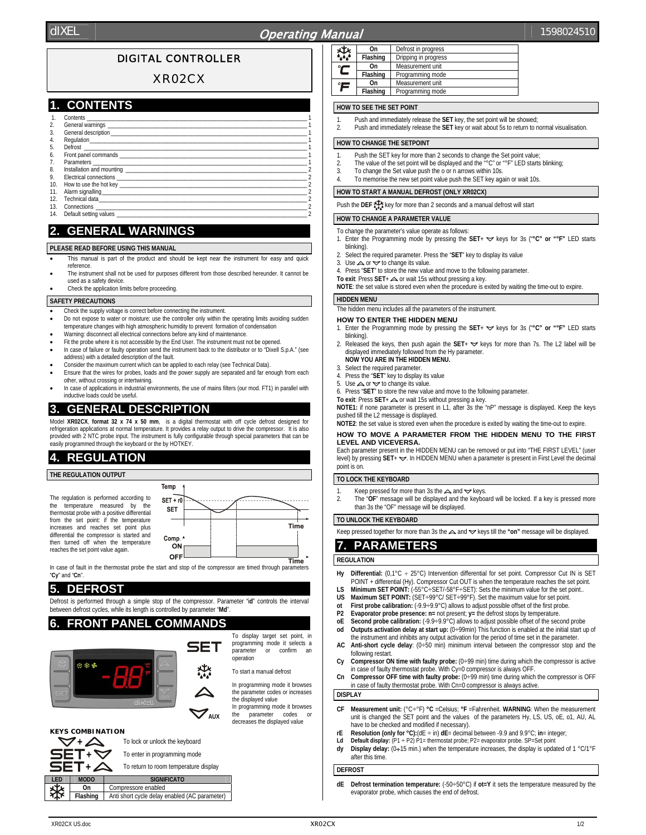# dIXEL  $\|\cdot\|$  1598024510

## DIGITAL CONTROLLER

## XR02CX

## **1. CONTENTS**

|     | Contents and the content of the content of the content of the content of the content of the content of the content of the content of the content of the content of the content of the content of the content of the content of       |  |
|-----|--------------------------------------------------------------------------------------------------------------------------------------------------------------------------------------------------------------------------------------|--|
| 2.  |                                                                                                                                                                                                                                      |  |
| 3.  |                                                                                                                                                                                                                                      |  |
| 4.  |                                                                                                                                                                                                                                      |  |
| 5.  |                                                                                                                                                                                                                                      |  |
| 6.  |                                                                                                                                                                                                                                      |  |
| 7.  |                                                                                                                                                                                                                                      |  |
| 8.  |                                                                                                                                                                                                                                      |  |
| 9.  |                                                                                                                                                                                                                                      |  |
| 10. |                                                                                                                                                                                                                                      |  |
| 11. |                                                                                                                                                                                                                                      |  |
| 12. | Technical data <b>contract and the contract of the contract of the contract of the contract of the contract of the contract of the contract of the contract of the contract of the contract of the contract of the contract of t</b> |  |
| 13. | Connections and the connections of the connections of the connections of the connections of the connections of the connections of the connections of the connections of the connections of the connections of the connections        |  |
|     | 14. Default setting values                                                                                                                                                                                                           |  |

# **2. GENERAL WARNINGS**

#### **PLEASE READ BEFORE USING THIS MANUAL**

- This manual is part of the product and should be kept near the instrument for easy and quick reference.
- The instrument shall not be used for purposes different from those described hereunder. It cannot be used as a safety device
- Check the application limits before proceeding.

#### **SAFETY PRECAUTIONS**

- Check the supply voltage is correct before connecting the instrument.
- Do not expose to water or moisture: use the controller only within the operating limits avoiding sudden temperature changes with high atmospheric humidity to prevent formation of condensation
- Warning: disconnect all electrical connections before any kind of maintenance
- Fit the probe where it is not accessible by the End User. The instrument must not be opened
- In case of failure or faulty operation send the instrument back to the distributor or to "Dixell S.p.A." (see address) with a detailed description of the fault.
- Consider the maximum current which can be applied to each relay (see Technical Data). • Ensure that the wires for probes, loads and the power supply are separated and far enough from each
- other, without crossing or intertwining. • In case of applications in industrial environments, the use of mains filters (our mod. FT1) in parallel with inductive loads could be useful.

## **3. GENERAL DESCRIPTION**

Model **XR02CX** format 32 x 74 x 50 mm, is a digital thermostat with off cycle defrost designed for refrigeration applications at normal temperature. It provides a relay output to drive the compressor. provided with 2 NTC probe input. The instrument is fully configurable through special parameters that can be easily programmed through the keyboard or the by HOTKEY.

## **4. REGULATION**

**THE REGULATION OUTPUT** 

The regulation is performed according to the temperature measured by the thermostat probe with a positive differential from the set point: if the temperature increases and reaches set point plus differential the compressor is started and then turned off when the temperature reaches the set point value again.



In case of fault in the thermostat probe the start and stop of the compressor are timed through parameters "**Cy**" and "**Cn**".

## **5. DEFROST**

**KEYS COMBINATION** 

Defrost is performed through a simple stop of the compressor. Parameter "i**d**" controls the interval between defrost cycles, while its length is controlled by parameter "**Md**".

## **6. FRONT PANEL COMMANDS**



 $\sqrt{+2}$  To lock or unlock the keyboard

**LED MODO** SIGNIFICATO **On** Compressore enabled **Flashing** Anti short cycle delay enabled (AC parameter)

 $\overline{\mathsf{B}}\mathsf{E}\mathsf{T}$  +  $\triangle$  To return to room temperature display

**+** To enter in programming mode

programming mode it selects a<br>parameter or confirm an or confirm operation

To start a manual defrost

In programming mode it browses the parameter codes or increases the displayed value In programming mode it browses the parameter codes decreases the displayed value

| ₩ | On       | Defrost in progress  |
|---|----------|----------------------|
|   | Flashing | Dripping in progress |
|   | On       | Measurement unit     |
| L | Flashing | Programming mode     |
| Έ | On       | Measurement unit     |
|   | Flashing | Programming mode     |

#### **HOW TO SEE THE SET POINT**

- 1. Push and immediately release the **SET** key, the set point will be showed;<br>2. Push and immediately release the **SET** key or wait about 5s to return to use
- 2. Push and immediately release the **SET** key or wait about 5s to return to normal visualisation.

## **HOW TO CHANGE THE SETPOINT**

- Push the SET key for more than 2 seconds to change the Set point value;
- 2. The value of the set point will be displayed and the  $\sqrt{r}$ °C" or  $\sqrt{r}$ " LED starts blinking;
- 3. To change the Set value push the o or n arrows within 10s.
- 4. To memorise the new set point value push the SET key again or wait 10s.

#### **HOW TO START A MANUAL DEFROST (ONLY XR02CX)**

Push the **DEF** key for more than 2 seconds and a manual defrost will start

## **HOW TO CHANGE A PARAMETER VALUE**

To change the parameter's value operate as follows:

- 1. Enter the Programming mode by pressing the SET+  $\blacktriangledown$  keys for 3s ("°C" or "°F" LED starts blinking).
- 2. Select the required parameter. Press the "**SET**" key to display its value
- 3. Use  $\triangle$  or  $\triangle$  to change its value.
- 4. Press "**SET**" to store the new value and move to the following parameter.
- **To exit:** Press SET+ △ or wait 15s without pressing a key.

**NOTE**: the set value is stored even when the procedure is exited by waiting the time-out to expire.

## **HIDDEN MENU**

The hidden menu includes all the parameters of the instrument.

#### **HOW TO ENTER THE HIDDEN MENU**

- 1. Enter the Programming mode by pressing the SET+  $\blacktriangledown$  keys for 3s ("°C" or "°F" LED starts blinking).
- 2. Released the keys, then push again the SET+  $\blacktriangledown$  keys for more than 7s. The L2 label will be displayed immediately followed from the Hy parameter. **NOW YOU ARE IN THE HIDDEN MENU.**
- 
- 3. Select the required parameter.<br>4. Press the "SET" key to display Press the "SET" key to display its value
- 5. Use  $\triangle$  or  $\triangle$  to change its value.
- 6. Press "**SET**" to store the new value and move to the following parameter.
- **To exit:** Press SET+ △ or wait 15s without pressing a key.

**NOTE1:** if none parameter is present in L1, after 3s the "nP" message is displayed. Keep the keys pushed till the L2 message is displayed.

**NOTE2**: the set value is stored even when the procedure is exited by waiting the time-out to expire.

#### **HOW TO MOVE A PARAMETER FROM THE HIDDEN MENU TO THE FIRST LEVEL AND VICEVERSA.**

Each parameter present in the HIDDEN MENU can be removed or put into "THE FIRST LEVEL" (user level) by pressing SET+  $\blacktriangledown$ . In HIDDEN MENU when a parameter is present in First Level the decimal point is on.

#### **TO LOCK THE KEYBOARD**

- Keep pressed for more than 3s the  $\triangle$  and  $\blacktriangledown$  keys.
- 2. The "**OF**" message will be displayed and the keyboard will be locked. If a key is pressed more than 3s the "OF" message will be displayed.

## **TO UNLOCK THE KEYBOARD**

Keep pressed together for more than 3s the  $\triangle$  and  $\triangledown$  keys till the "on" message will be displayed.

## **7. PARAMETERS**

#### **REGULATION**

- Hy Differential:  $(0,1^{\circ}C \div 25^{\circ}C)$  Intervention differential for set point. Compressor Cut IN is SET POINT + differential (Hy). Compressor Cut OUT is when the temperature reaches the set point.
- **LS Minimum SET POINT:** (-55°C÷SET/-58°F÷SET): Sets the minimum value for the set point..
- **US Maximum SET POINT:** (SET÷99°C/ SET÷99°F). Set the maximum value for set point.
- **ot** First probe calibration:  $(.9.9 \div 9.9^{\circ}C)$  allows to adjust possible offset of the first probe.<br> **P2** Fyanorator probe presence: **n**= not present: **y**= the defrost stops by temperature
- **P2 Evaporator probe presence: n=** not present; **y=** the defrost stops by temperature. **oE Second probe calibration:** (-9.9÷9.9°C) allows to adjust possible offset of the second probe
- **od Outputs activation delay at start up:** (0÷99min) This function is enabled at the initial start up of the instrument and inhibits any output activation for the period of time set in the parameter.
- **AC Anti-short cycle delay**: (0÷50 min) minimum interval between the compressor stop and the following restart.
- **Cy Compressor ON time with faulty probe:** (0÷99 min) time during which the compressor is active in case of faulty thermostat probe. With Cy=0 compressor is always OFF
- **Cn Compressor OFF time with faulty probe:** (0÷99 min) time during which the compressor is OFF in case of faulty thermostat probe. With Cn=0 compressor is always active

#### **DISPLAY**

- **CF Measurement unit:** (°C÷°F) **°C** =Celsius; **°F** =Fahrenheit. **WARNING**: When the measurement unit is changed the SET point and the values of the parameters Hy, LS, US, oE, o1, AU, AL have to be checked and modified if necessary).
- **rE Resolution (only for °C):**(dE ÷ in) **dE**= decimal between -9.9 and 9.9°C; **in**= integer;
- Ld Default display:  $(P1 \div P2)$  P1= thermostat probe; P2= evaporator probe. SP=Set point
- **dy Display delay:** (0÷15 min.) when the temperature increases, the display is updated of 1 °C/1°F after this time.

#### **DEFROST**

**Defrost termination temperature:** (-50÷50°C) if ot=Y it sets the temperature measured by the evaporator probe, which causes the end of defrost.

# To display target set point, in